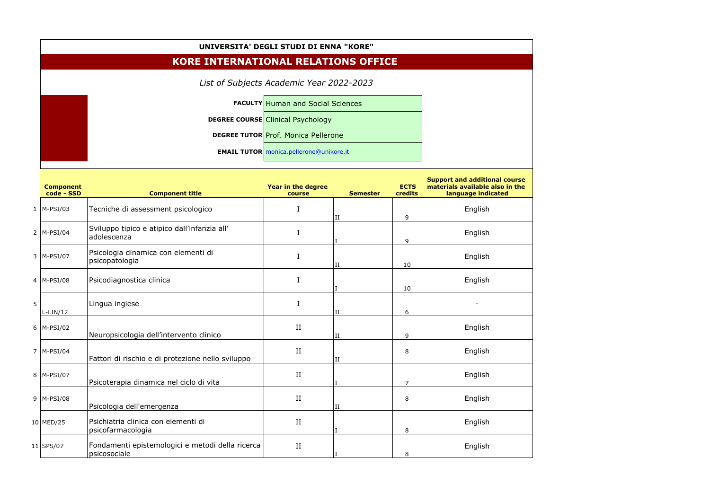| UNIVERSITA' DEGLI STUDI DI ENNA "KORE"     |  |                                                |  |  |  |  |
|--------------------------------------------|--|------------------------------------------------|--|--|--|--|
| <b>KORE INTERNATIONAL RELATIONS OFFICE</b> |  |                                                |  |  |  |  |
| List of Subjects Academic Year 2022-2023   |  |                                                |  |  |  |  |
|                                            |  | <b>FACULTY Human and Social Sciences</b>       |  |  |  |  |
|                                            |  | <b>DEGREE COURSE Clinical Psychology</b>       |  |  |  |  |
|                                            |  | <b>DEGREE TUTOR Prof. Monica Pellerone</b>     |  |  |  |  |
|                                            |  | <b>EMAIL TUTOR</b> monica.pellerone@unikore.it |  |  |  |  |

|   | <b>Component</b><br>code - SSD | <b>Component title</b>                                           | Year in the degree<br>course | <b>Semester</b> | <b>ECTS</b><br>credits | <b>Support and additional course</b><br>materials available also in the<br>language indicated |
|---|--------------------------------|------------------------------------------------------------------|------------------------------|-----------------|------------------------|-----------------------------------------------------------------------------------------------|
|   | $1$  M-PSI/03                  | Tecniche di assessment psicologico                               | I                            | II              | 9                      | English                                                                                       |
|   | $2$  M-PSI/04                  | Sviluppo tipico e atipico dall'infanzia all'<br>adolescenza      | I                            |                 | 9                      | English                                                                                       |
|   | $3$  M-PSI/07                  | Psicologia dinamica con elementi di<br>psicopatologia            | I                            | II              | 10                     | English                                                                                       |
|   | $4$  M-PSI/08                  | Psicodiagnostica clinica                                         | I                            |                 | 10                     | English                                                                                       |
| 5 | L-LIN/12                       | Lingua inglese                                                   | I                            | II              | 6                      |                                                                                               |
|   | $6$  M-PSI/02                  | Neuropsicologia dell'intervento clinico                          | $\;$ II                      | II              | 9                      | English                                                                                       |
|   | $7$  M-PSI/04                  | Fattori di rischio e di protezione nello sviluppo                | $\;$ II                      | II              | 8                      | English                                                                                       |
|   | $8$  M-PSI/07                  | Psicoterapia dinamica nel ciclo di vita                          | $\rm II$                     |                 | $\overline{7}$         | English                                                                                       |
|   | $9$  M-PSI/08                  | Psicologia dell'emergenza                                        | II                           | II              | 8                      | English                                                                                       |
|   | $10$ MED/25                    | Psichiatria clinica con elementi di<br>psicofarmacologia         | $\;$ II                      |                 | 8                      | English                                                                                       |
|   | $11$ SPS/07                    | Fondamenti epistemologici e metodi della ricerca<br>psicosociale | II                           |                 | 8                      | English                                                                                       |